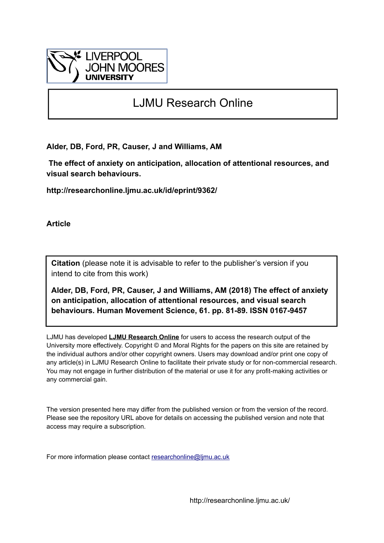

# LJMU Research Online

**Alder, DB, Ford, PR, Causer, J and Williams, AM**

 **The effect of anxiety on anticipation, allocation of attentional resources, and visual search behaviours.**

**http://researchonline.ljmu.ac.uk/id/eprint/9362/**

**Article**

**Citation** (please note it is advisable to refer to the publisher's version if you intend to cite from this work)

**Alder, DB, Ford, PR, Causer, J and Williams, AM (2018) The effect of anxiety on anticipation, allocation of attentional resources, and visual search behaviours. Human Movement Science, 61. pp. 81-89. ISSN 0167-9457** 

LJMU has developed **[LJMU Research Online](http://researchonline.ljmu.ac.uk/)** for users to access the research output of the University more effectively. Copyright © and Moral Rights for the papers on this site are retained by the individual authors and/or other copyright owners. Users may download and/or print one copy of any article(s) in LJMU Research Online to facilitate their private study or for non-commercial research. You may not engage in further distribution of the material or use it for any profit-making activities or any commercial gain.

The version presented here may differ from the published version or from the version of the record. Please see the repository URL above for details on accessing the published version and note that access may require a subscription.

For more information please contact [researchonline@ljmu.ac.uk](mailto:researchonline@ljmu.ac.uk)

http://researchonline.ljmu.ac.uk/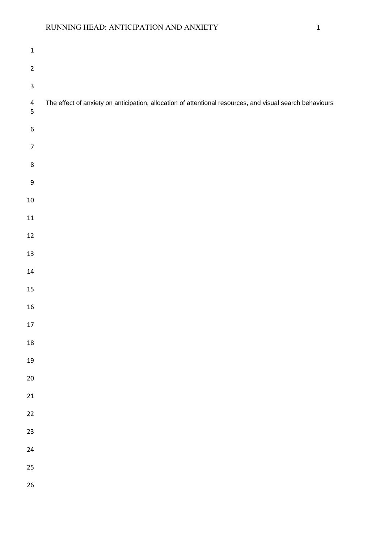# RUNNING HEAD: ANTICIPATION AND ANXIETY 1

| $\mathbf 1$                  |                                                                                                          |
|------------------------------|----------------------------------------------------------------------------------------------------------|
| $\mathbf 2$                  |                                                                                                          |
| $\mathbf{3}$                 |                                                                                                          |
| $\overline{\mathbf{4}}$<br>5 | The effect of anxiety on anticipation, allocation of attentional resources, and visual search behaviours |
| $\boldsymbol{6}$             |                                                                                                          |
| $\boldsymbol{7}$             |                                                                                                          |
| $\bf 8$                      |                                                                                                          |
| $\mathsf 9$                  |                                                                                                          |
| $10\,$                       |                                                                                                          |
| ${\bf 11}$                   |                                                                                                          |
| $12\,$                       |                                                                                                          |
| $13\,$                       |                                                                                                          |
| ${\bf 14}$                   |                                                                                                          |
| 15                           |                                                                                                          |
| $16\,$                       |                                                                                                          |
| $17\,$                       |                                                                                                          |
| ${\bf 18}$                   |                                                                                                          |
| 19                           |                                                                                                          |
| 20                           |                                                                                                          |
| 21                           |                                                                                                          |
| $22\,$                       |                                                                                                          |
| 23                           |                                                                                                          |
| 24                           |                                                                                                          |
| 25                           |                                                                                                          |
| 26                           |                                                                                                          |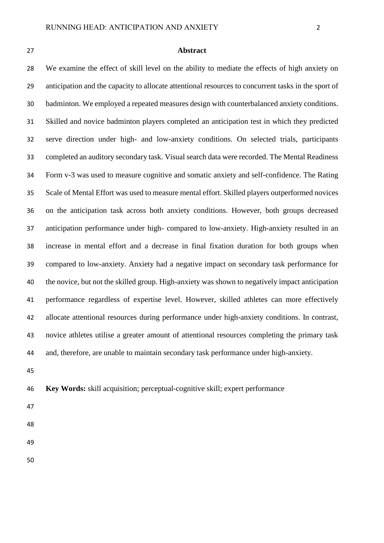#### **Abstract**

 We examine the effect of skill level on the ability to mediate the effects of high anxiety on anticipation and the capacity to allocate attentional resources to concurrent tasks in the sport of badminton. We employed a repeated measures design with counterbalanced anxiety conditions. Skilled and novice badminton players completed an anticipation test in which they predicted serve direction under high- and low-anxiety conditions. On selected trials, participants completed an auditory secondary task. Visual search data were recorded. The Mental Readiness Form v-3 was used to measure cognitive and somatic anxiety and self-confidence. The Rating Scale of Mental Effort was used to measure mental effort. Skilled players outperformed novices on the anticipation task across both anxiety conditions. However, both groups decreased anticipation performance under high- compared to low-anxiety. High-anxiety resulted in an increase in mental effort and a decrease in final fixation duration for both groups when compared to low-anxiety. Anxiety had a negative impact on secondary task performance for the novice, but not the skilled group. High-anxiety was shown to negatively impact anticipation performance regardless of expertise level. However, skilled athletes can more effectively allocate attentional resources during performance under high-anxiety conditions. In contrast, novice athletes utilise a greater amount of attentional resources completing the primary task and, therefore, are unable to maintain secondary task performance under high-anxiety.

### **Key Words:** skill acquisition; perceptual-cognitive skill; expert performance

- 
- 
- 
-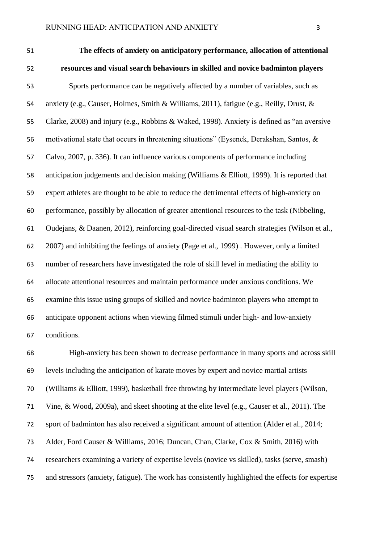**The effects of anxiety on anticipatory performance, allocation of attentional resources and visual search behaviours in skilled and novice badminton players** Sports performance can be negatively affected by a number of variables, such as anxiety (e.g., Causer, Holmes, Smith & Williams, 2011), fatigue (e.g., Reilly, Drust, & Clarke, 2008) and injury (e.g., Robbins & Waked, 1998). Anxiety is defined as "an aversive motivational state that occurs in threatening situations" (Eysenck, Derakshan, Santos, & Calvo, 2007, p. 336). It can influence various components of performance including anticipation judgements and decision making (Williams & Elliott, 1999). It is reported that expert athletes are thought to be able to reduce the detrimental effects of high-anxiety on performance, possibly by allocation of greater attentional resources to the task (Nibbeling, Oudejans, & Daanen, 2012), reinforcing goal-directed visual search strategies (Wilson et al., 2007) and inhibiting the feelings of anxiety (Page et al., 1999) . However, only a limited number of researchers have investigated the role of skill level in mediating the ability to allocate attentional resources and maintain performance under anxious conditions. We examine this issue using groups of skilled and novice badminton players who attempt to anticipate opponent actions when viewing filmed stimuli under high- and low-anxiety conditions.

 High-anxiety has been shown to decrease performance in many sports and across skill levels including the anticipation of karate moves by expert and novice martial artists (Williams & Elliott, 1999), basketball free throwing by intermediate level players (Wilson, Vine, & Wood**,** 2009a), and skeet shooting at the elite level (e.g., Causer et al., 2011). The sport of badminton has also received a significant amount of attention (Alder et al., 2014; Alder, Ford Causer & Williams, 2016; Duncan, Chan, Clarke, Cox & Smith, 2016) with researchers examining a variety of expertise levels (novice vs skilled), tasks (serve, smash) and stressors (anxiety, fatigue). The work has consistently highlighted the effects for expertise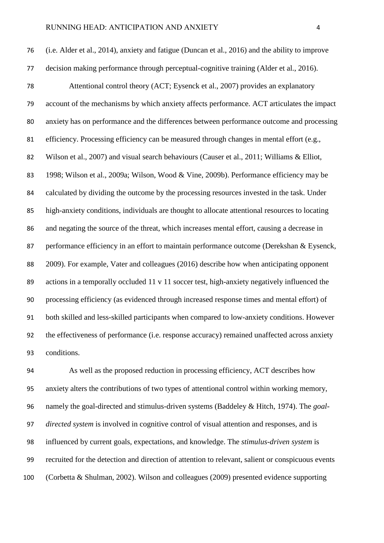(i.e. Alder et al., 2014), anxiety and fatigue (Duncan et al., 2016) and the ability to improve decision making performance through perceptual-cognitive training (Alder et al., 2016). Attentional control theory (ACT; Eysenck et al., 2007) provides an explanatory account of the mechanisms by which anxiety affects performance. ACT articulates the impact anxiety has on performance and the differences between performance outcome and processing efficiency. Processing efficiency can be measured through changes in mental effort (e.g., 82 Wilson et al., 2007) and visual search behaviours (Causer et al., 2011; Williams & Elliot, 1998; Wilson et al., 2009a; Wilson, Wood & Vine, 2009b). Performance efficiency may be calculated by dividing the outcome by the processing resources invested in the task. Under 85 high-anxiety conditions, individuals are thought to allocate attentional resources to locating and negating the source of the threat, which increases mental effort, causing a decrease in 87 performance efficiency in an effort to maintain performance outcome (Derekshan & Eysenck, 2009). For example, Vater and colleagues (2016) describe how when anticipating opponent actions in a temporally occluded 11 v 11 soccer test, high-anxiety negatively influenced the processing efficiency (as evidenced through increased response times and mental effort) of both skilled and less-skilled participants when compared to low-anxiety conditions. However the effectiveness of performance (i.e. response accuracy) remained unaffected across anxiety conditions.

 As well as the proposed reduction in processing efficiency, ACT describes how anxiety alters the contributions of two types of attentional control within working memory, namely the goal-directed and stimulus-driven systems (Baddeley & Hitch, 1974). The *goal- directed system* is involved in cognitive control of visual attention and responses, and is influenced by current goals, expectations, and knowledge. The *stimulus-driven system* is recruited for the detection and direction of attention to relevant, salient or conspicuous events (Corbetta & Shulman, 2002). Wilson and colleagues (2009) presented evidence supporting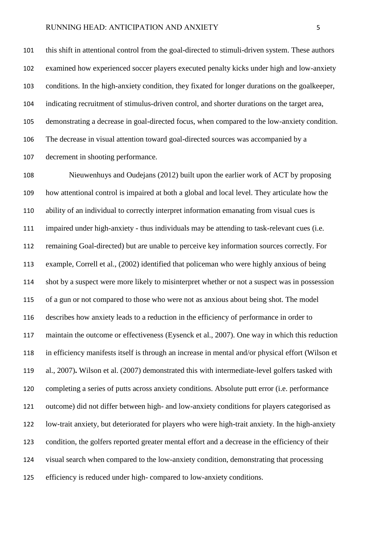this shift in attentional control from the goal-directed to stimuli-driven system. These authors examined how experienced soccer players executed penalty kicks under high and low-anxiety conditions. In the high-anxiety condition, they fixated for longer durations on the goalkeeper, indicating recruitment of stimulus-driven control, and shorter durations on the target area, demonstrating a decrease in goal-directed focus, when compared to the low-anxiety condition. The decrease in visual attention toward goal-directed sources was accompanied by a decrement in shooting performance.

 Nieuwenhuys and Oudejans (2012) built upon the earlier work of ACT by proposing how attentional control is impaired at both a global and local level. They articulate how the ability of an individual to correctly interpret information emanating from visual cues is impaired under high-anxiety - thus individuals may be attending to task-relevant cues (i.e. remaining Goal-directed) but are unable to perceive key information sources correctly. For example, Correll et al., (2002) identified that policeman who were highly anxious of being shot by a suspect were more likely to misinterpret whether or not a suspect was in possession of a gun or not compared to those who were not as anxious about being shot. The model describes how anxiety leads to a reduction in the efficiency of performance in order to maintain the outcome or effectiveness (Eysenck et al., 2007). One way in which this reduction in efficiency manifests itself is through an increase in mental and/or physical effort (Wilson et al., 2007)**.** Wilson et al. (2007) demonstrated this with intermediate-level golfers tasked with completing a series of putts across anxiety conditions. Absolute putt error (i.e. performance outcome) did not differ between high- and low-anxiety conditions for players categorised as low-trait anxiety, but deteriorated for players who were high-trait anxiety. In the high-anxiety condition, the golfers reported greater mental effort and a decrease in the efficiency of their visual search when compared to the low-anxiety condition, demonstrating that processing efficiency is reduced under high- compared to low-anxiety conditions.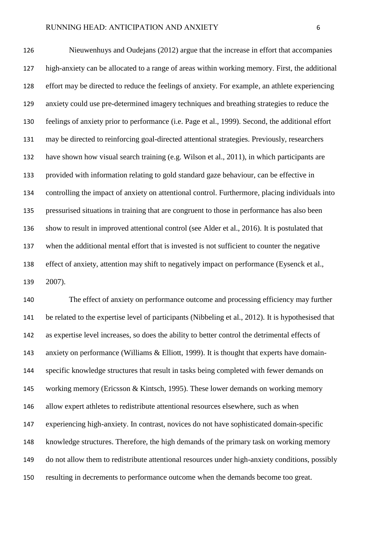Nieuwenhuys and Oudejans (2012) argue that the increase in effort that accompanies high-anxiety can be allocated to a range of areas within working memory. First, the additional effort may be directed to reduce the feelings of anxiety. For example, an athlete experiencing anxiety could use pre-determined imagery techniques and breathing strategies to reduce the feelings of anxiety prior to performance (i.e. Page et al., 1999). Second, the additional effort may be directed to reinforcing goal-directed attentional strategies. Previously, researchers have shown how visual search training (e.g. Wilson et al., 2011), in which participants are provided with information relating to gold standard gaze behaviour, can be effective in controlling the impact of anxiety on attentional control. Furthermore, placing individuals into pressurised situations in training that are congruent to those in performance has also been show to result in improved attentional control (see Alder et al., 2016). It is postulated that when the additional mental effort that is invested is not sufficient to counter the negative effect of anxiety, attention may shift to negatively impact on performance (Eysenck et al., 2007).

 The effect of anxiety on performance outcome and processing efficiency may further be related to the expertise level of participants (Nibbeling et al., 2012). It is hypothesised that as expertise level increases, so does the ability to better control the detrimental effects of anxiety on performance (Williams & Elliott, 1999). It is thought that experts have domain- specific knowledge structures that result in tasks being completed with fewer demands on working memory (Ericsson & Kintsch, 1995). These lower demands on working memory allow expert athletes to redistribute attentional resources elsewhere, such as when experiencing high-anxiety. In contrast, novices do not have sophisticated domain-specific knowledge structures. Therefore, the high demands of the primary task on working memory do not allow them to redistribute attentional resources under high-anxiety conditions, possibly resulting in decrements to performance outcome when the demands become too great.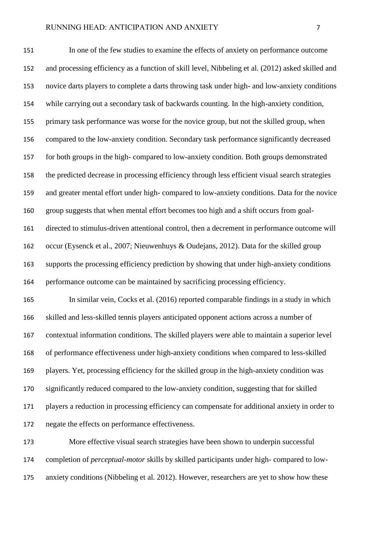In one of the few studies to examine the effects of anxiety on performance outcome and processing efficiency as a function of skill level, Nibbeling et al. (2012) asked skilled and novice darts players to complete a darts throwing task under high- and low-anxiety conditions while carrying out a secondary task of backwards counting. In the high-anxiety condition, primary task performance was worse for the novice group, but not the skilled group, when compared to the low-anxiety condition. Secondary task performance significantly decreased for both groups in the high- compared to low-anxiety condition. Both groups demonstrated the predicted decrease in processing efficiency through less efficient visual search strategies and greater mental effort under high- compared to low-anxiety conditions. Data for the novice group suggests that when mental effort becomes too high and a shift occurs from goal- directed to stimulus-driven attentional control, then a decrement in performance outcome will occur (Eysenck et al., 2007; Nieuwenhuys & Oudejans, 2012). Data for the skilled group supports the processing efficiency prediction by showing that under high-anxiety conditions performance outcome can be maintained by sacrificing processing efficiency.

 In similar vein, Cocks et al. (2016) reported comparable findings in a study in which skilled and less-skilled tennis players anticipated opponent actions across a number of contextual information conditions. The skilled players were able to maintain a superior level of performance effectiveness under high-anxiety conditions when compared to less-skilled players. Yet, processing efficiency for the skilled group in the high-anxiety condition was significantly reduced compared to the low-anxiety condition, suggesting that for skilled players a reduction in processing efficiency can compensate for additional anxiety in order to negate the effects on performance effectiveness.

 More effective visual search strategies have been shown to underpin successful completion of *perceptual-motor* skills by skilled participants under high- compared to low-anxiety conditions (Nibbeling et al. 2012). However, researchers are yet to show how these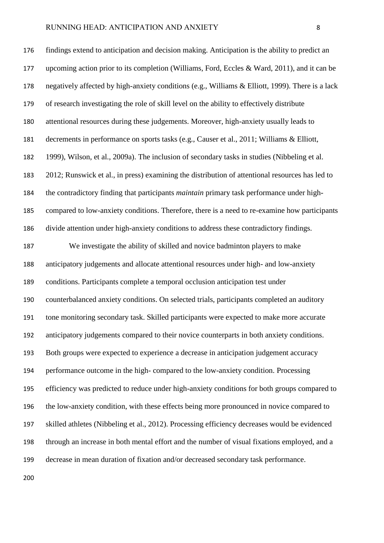findings extend to anticipation and decision making. Anticipation is the ability to predict an upcoming action prior to its completion (Williams, Ford, Eccles & Ward, 2011), and it can be negatively affected by high-anxiety conditions (e.g., Williams & Elliott, 1999). There is a lack of research investigating the role of skill level on the ability to effectively distribute attentional resources during these judgements. Moreover, high-anxiety usually leads to decrements in performance on sports tasks (e.g., Causer et al., 2011; Williams & Elliott, 1999), Wilson, et al., 2009a). The inclusion of secondary tasks in studies (Nibbeling et al. 2012; Runswick et al., in press) examining the distribution of attentional resources has led to the contradictory finding that participants *maintain* primary task performance under high- compared to low-anxiety conditions. Therefore, there is a need to re-examine how participants divide attention under high-anxiety conditions to address these contradictory findings.

 We investigate the ability of skilled and novice badminton players to make anticipatory judgements and allocate attentional resources under high- and low-anxiety conditions. Participants complete a temporal occlusion anticipation test under counterbalanced anxiety conditions. On selected trials, participants completed an auditory tone monitoring secondary task. Skilled participants were expected to make more accurate anticipatory judgements compared to their novice counterparts in both anxiety conditions. Both groups were expected to experience a decrease in anticipation judgement accuracy performance outcome in the high- compared to the low-anxiety condition. Processing efficiency was predicted to reduce under high-anxiety conditions for both groups compared to the low-anxiety condition, with these effects being more pronounced in novice compared to skilled athletes (Nibbeling et al., 2012). Processing efficiency decreases would be evidenced through an increase in both mental effort and the number of visual fixations employed, and a decrease in mean duration of fixation and/or decreased secondary task performance.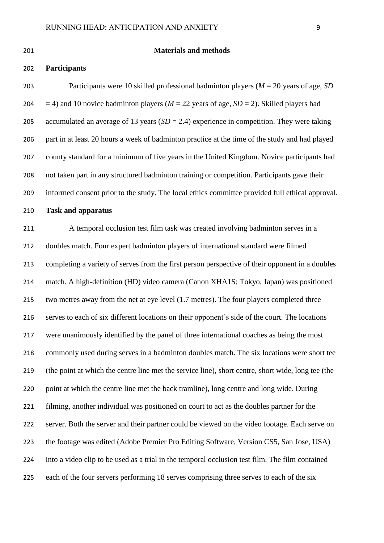# **Materials and methods**

# **Participants**

 Participants were 10 skilled professional badminton players (*M* = 20 years of age, *SD*  $=$  4) and 10 novice badminton players ( $M = 22$  years of age,  $SD = 2$ ). Skilled players had accumulated an average of 13 years (*SD* = 2.4) experience in competition. They were taking part in at least 20 hours a week of badminton practice at the time of the study and had played county standard for a minimum of five years in the United Kingdom. Novice participants had not taken part in any structured badminton training or competition. Participants gave their informed consent prior to the study. The local ethics committee provided full ethical approval.

# **Task and apparatus**

 A temporal occlusion test film task was created involving badminton serves in a doubles match. Four expert badminton players of international standard were filmed completing a variety of serves from the first person perspective of their opponent in a doubles match. A high-definition (HD) video camera (Canon XHA1S; Tokyo, Japan) was positioned two metres away from the net at eye level (1.7 metres). The four players completed three serves to each of six different locations on their opponent's side of the court. The locations were unanimously identified by the panel of three international coaches as being the most commonly used during serves in a badminton doubles match. The six locations were short tee (the point at which the centre line met the service line), short centre, short wide, long tee (the point at which the centre line met the back tramline), long centre and long wide. During filming, another individual was positioned on court to act as the doubles partner for the server. Both the server and their partner could be viewed on the video footage. Each serve on the footage was edited (Adobe Premier Pro Editing Software, Version CS5, San Jose, USA) into a video clip to be used as a trial in the temporal occlusion test film. The film contained each of the four servers performing 18 serves comprising three serves to each of the six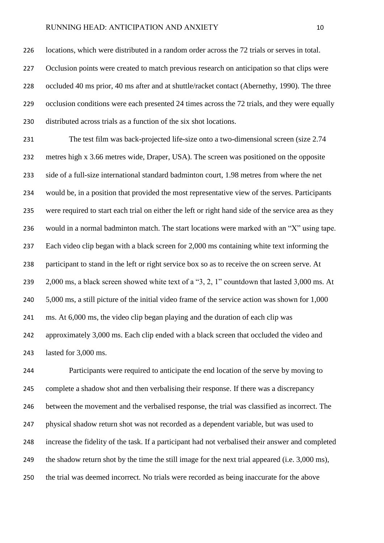locations, which were distributed in a random order across the 72 trials or serves in total. 227 Occlusion points were created to match previous research on anticipation so that clips were occluded 40 ms prior, 40 ms after and at shuttle/racket contact (Abernethy, 1990). The three 229 occlusion conditions were each presented 24 times across the 72 trials, and they were equally distributed across trials as a function of the six shot locations.

 The test film was back-projected life-size onto a two-dimensional screen (size 2.74 metres high x 3.66 metres wide, Draper, USA). The screen was positioned on the opposite side of a full-size international standard badminton court, 1.98 metres from where the net would be, in a position that provided the most representative view of the serves. Participants were required to start each trial on either the left or right hand side of the service area as they would in a normal badminton match. The start locations were marked with an "X" using tape. Each video clip began with a black screen for 2,000 ms containing white text informing the participant to stand in the left or right service box so as to receive the on screen serve. At 239 2,000 ms, a black screen showed white text of a "3, 2, 1" countdown that lasted 3,000 ms. At 5,000 ms, a still picture of the initial video frame of the service action was shown for 1,000 ms. At 6,000 ms, the video clip began playing and the duration of each clip was approximately 3,000 ms. Each clip ended with a black screen that occluded the video and lasted for 3,000 ms.

 Participants were required to anticipate the end location of the serve by moving to complete a shadow shot and then verbalising their response. If there was a discrepancy between the movement and the verbalised response, the trial was classified as incorrect. The physical shadow return shot was not recorded as a dependent variable, but was used to increase the fidelity of the task. If a participant had not verbalised their answer and completed the shadow return shot by the time the still image for the next trial appeared (i.e. 3,000 ms), the trial was deemed incorrect. No trials were recorded as being inaccurate for the above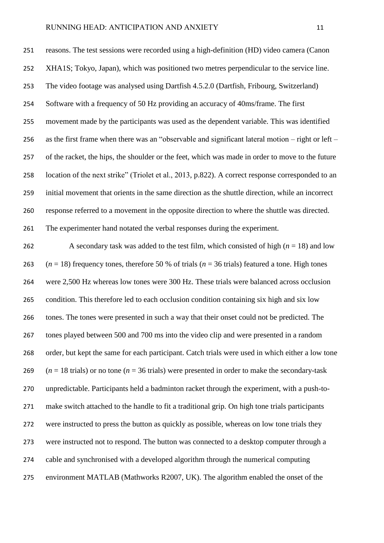reasons. The test sessions were recorded using a high-definition (HD) video camera (Canon XHA1S; Tokyo, Japan), which was positioned two metres perpendicular to the service line. The video footage was analysed using Dartfish 4.5.2.0 (Dartfish, Fribourg, Switzerland) Software with a frequency of 50 Hz providing an accuracy of 40ms/frame. The first movement made by the participants was used as the dependent variable. This was identified as the first frame when there was an "observable and significant lateral motion – right or left – of the racket, the hips, the shoulder or the feet, which was made in order to move to the future location of the next strike" (Triolet et al., 2013, p.822). A correct response corresponded to an initial movement that orients in the same direction as the shuttle direction, while an incorrect response referred to a movement in the opposite direction to where the shuttle was directed. The experimenter hand notated the verbal responses during the experiment.

262 A secondary task was added to the test film, which consisted of high  $(n = 18)$  and low  $(n = 18)$  frequency tones, therefore 50 % of trials  $(n = 36 \text{ trials})$  featured a tone. High tones were 2,500 Hz whereas low tones were 300 Hz. These trials were balanced across occlusion condition. This therefore led to each occlusion condition containing six high and six low tones. The tones were presented in such a way that their onset could not be predicted. The tones played between 500 and 700 ms into the video clip and were presented in a random order, but kept the same for each participant. Catch trials were used in which either a low tone  $(n = 18 \text{ trials})$  or no tone  $(n = 36 \text{ trials})$  were presented in order to make the secondary-task unpredictable. Participants held a badminton racket through the experiment, with a push-to- make switch attached to the handle to fit a traditional grip. On high tone trials participants were instructed to press the button as quickly as possible, whereas on low tone trials they were instructed not to respond. The button was connected to a desktop computer through a cable and synchronised with a developed algorithm through the numerical computing environment MATLAB (Mathworks R2007, UK). The algorithm enabled the onset of the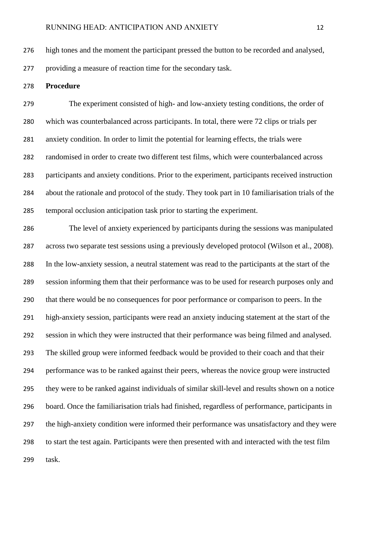high tones and the moment the participant pressed the button to be recorded and analysed, providing a measure of reaction time for the secondary task.

#### **Procedure**

 The experiment consisted of high- and low-anxiety testing conditions, the order of which was counterbalanced across participants. In total, there were 72 clips or trials per anxiety condition. In order to limit the potential for learning effects, the trials were randomised in order to create two different test films, which were counterbalanced across participants and anxiety conditions. Prior to the experiment, participants received instruction about the rationale and protocol of the study. They took part in 10 familiarisation trials of the temporal occlusion anticipation task prior to starting the experiment.

 The level of anxiety experienced by participants during the sessions was manipulated across two separate test sessions using a previously developed protocol (Wilson et al., 2008). In the low-anxiety session, a neutral statement was read to the participants at the start of the session informing them that their performance was to be used for research purposes only and that there would be no consequences for poor performance or comparison to peers. In the high-anxiety session, participants were read an anxiety inducing statement at the start of the session in which they were instructed that their performance was being filmed and analysed. The skilled group were informed feedback would be provided to their coach and that their performance was to be ranked against their peers, whereas the novice group were instructed they were to be ranked against individuals of similar skill-level and results shown on a notice board. Once the familiarisation trials had finished, regardless of performance, participants in the high-anxiety condition were informed their performance was unsatisfactory and they were to start the test again. Participants were then presented with and interacted with the test film task.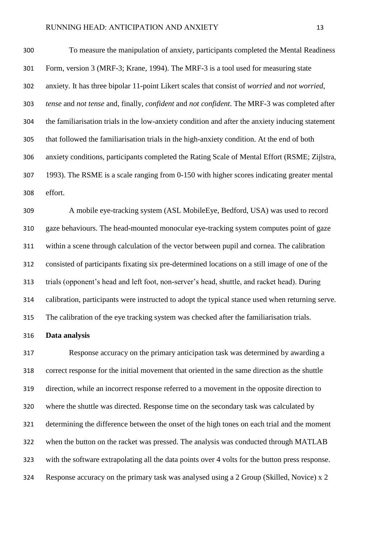To measure the manipulation of anxiety, participants completed the Mental Readiness Form, version 3 (MRF-3; Krane, 1994). The MRF-3 is a tool used for measuring state anxiety. It has three bipolar 11-point Likert scales that consist of *worried* and *not worried*, *tense* and *not tense* and, finally, *confident* and *not confident*. The MRF-3 was completed after the familiarisation trials in the low-anxiety condition and after the anxiety inducing statement that followed the familiarisation trials in the high-anxiety condition. At the end of both anxiety conditions, participants completed the Rating Scale of Mental Effort (RSME; Zijlstra, 1993). The RSME is a scale ranging from 0-150 with higher scores indicating greater mental effort.

 A mobile eye-tracking system (ASL MobileEye, Bedford, USA) was used to record gaze behaviours. The head-mounted monocular eye-tracking system computes point of gaze within a scene through calculation of the vector between pupil and cornea. The calibration consisted of participants fixating six pre-determined locations on a still image of one of the trials (opponent's head and left foot, non-server's head, shuttle, and racket head). During calibration, participants were instructed to adopt the typical stance used when returning serve. The calibration of the eye tracking system was checked after the familiarisation trials.

## **Data analysis**

 Response accuracy on the primary anticipation task was determined by awarding a correct response for the initial movement that oriented in the same direction as the shuttle direction, while an incorrect response referred to a movement in the opposite direction to where the shuttle was directed. Response time on the secondary task was calculated by determining the difference between the onset of the high tones on each trial and the moment when the button on the racket was pressed. The analysis was conducted through MATLAB with the software extrapolating all the data points over 4 volts for the button press response. Response accuracy on the primary task was analysed using a 2 Group (Skilled, Novice) x 2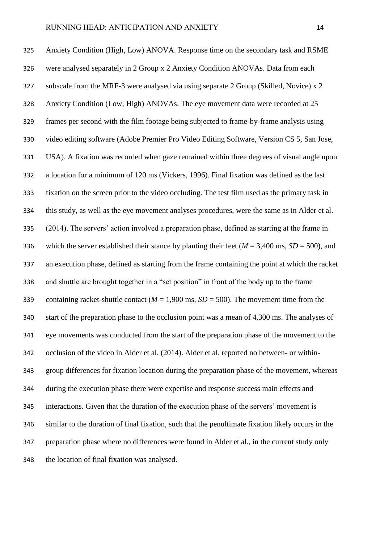Anxiety Condition (High, Low) ANOVA. Response time on the secondary task and RSME were analysed separately in 2 Group x 2 Anxiety Condition ANOVAs. Data from each subscale from the MRF-3 were analysed via using separate 2 Group (Skilled, Novice) x 2 Anxiety Condition (Low, High) ANOVAs. The eye movement data were recorded at 25 frames per second with the film footage being subjected to frame-by-frame analysis using video editing software (Adobe Premier Pro Video Editing Software, Version CS 5, San Jose, USA). A fixation was recorded when gaze remained within three degrees of visual angle upon a location for a minimum of 120 ms (Vickers, 1996). Final fixation was defined as the last fixation on the screen prior to the video occluding. The test film used as the primary task in this study, as well as the eye movement analyses procedures, were the same as in Alder et al. (2014). The servers' action involved a preparation phase, defined as starting at the frame in 336 which the server established their stance by planting their feet  $(M = 3,400 \text{ ms}, SD = 500)$ , and an execution phase, defined as starting from the frame containing the point at which the racket and shuttle are brought together in a "set position" in front of the body up to the frame 339 containing racket-shuttle contact  $(M = 1,900 \text{ ms}, SD = 500)$ . The movement time from the start of the preparation phase to the occlusion point was a mean of 4,300 ms. The analyses of eye movements was conducted from the start of the preparation phase of the movement to the occlusion of the video in Alder et al. (2014). Alder et al. reported no between- or within- group differences for fixation location during the preparation phase of the movement, whereas during the execution phase there were expertise and response success main effects and interactions. Given that the duration of the execution phase of the servers' movement is similar to the duration of final fixation, such that the penultimate fixation likely occurs in the preparation phase where no differences were found in Alder et al., in the current study only the location of final fixation was analysed.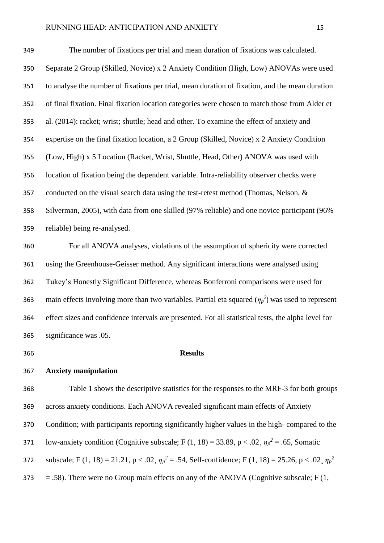The number of fixations per trial and mean duration of fixations was calculated. Separate 2 Group (Skilled, Novice) x 2 Anxiety Condition (High, Low) ANOVAs were used to analyse the number of fixations per trial, mean duration of fixation, and the mean duration of final fixation. Final fixation location categories were chosen to match those from Alder et al. (2014): racket; wrist; shuttle; head and other. To examine the effect of anxiety and expertise on the final fixation location, a 2 Group (Skilled, Novice) x 2 Anxiety Condition (Low, High) x 5 Location (Racket, Wrist, Shuttle, Head, Other) ANOVA was used with location of fixation being the dependent variable. Intra-reliability observer checks were 357 conducted on the visual search data using the test-retest method (Thomas, Nelson, & Silverman, 2005), with data from one skilled (97% reliable) and one novice participant (96% reliable) being re-analysed.

 For all ANOVA analyses, violations of the assumption of sphericity were corrected using the Greenhouse-Geisser method. Any significant interactions were analysed using Tukey's Honestly Significant Difference, whereas Bonferroni comparisons were used for 363 main effects involving more than two variables. Partial eta squared  $(\eta_p^2)$  was used to represent effect sizes and confidence intervals are presented. For all statistical tests, the alpha level for significance was .05.

**Anxiety manipulation**

#### **Results**

 Table 1 shows the descriptive statistics for the responses to the MRF-3 for both groups across anxiety conditions. Each ANOVA revealed significant main effects of Anxiety Condition; with participants reporting significantly higher values in the high- compared to the low-anxiety condition (Cognitive subscale; F (1, 18) = 33.89, p < .02,  $\eta_p^2$  = .65, Somatic subscale; F (1, 18) = 21.21,  $p < .02$ ,  $\eta_p^2 = .54$ , Self-confidence; F (1, 18) = 25.26,  $p < .02$ ,  $\eta_p^2$   $373 = .58$ ). There were no Group main effects on any of the ANOVA (Cognitive subscale; F (1,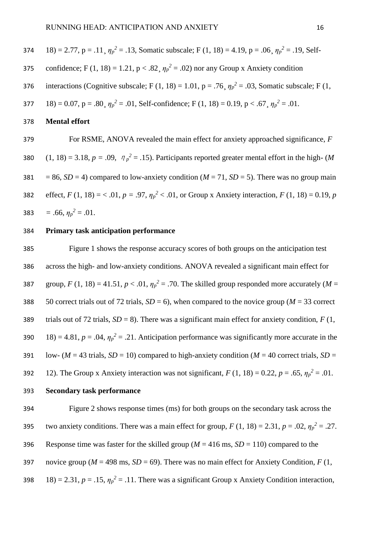374 18 = 2.77, p = .11, 
$$
\eta_p^2
$$
 = .13, Somatic subscale; F (1, 18) = 4.19, p = .06,  $\eta_p^2$  = .19, Self-

- confidence; F (1, 18) = 1.21,  $p < .82$ ,  $\eta_p^2 = .02$ ) nor any Group x Anxiety condition
- interactions (Cognitive subscale; F (1, 18) = 1.01, p = .76,  $\eta_p^2$  = .03, Somatic subscale; F (1,
- 18) = 0.07, p = .80,  $\eta_p^2$  = .01, Self-confidence; F (1, 18) = 0.19, p < .67,  $\eta_p^2$  = .01.
- 378 **Mental effort**

379 For RSME, ANOVA revealed the main effect for anxiety approached significance, *F*  380  $(1, 18) = 3.18$ ,  $p = .09$ ,  $\eta_p^2 = .15$ ). Participants reported greater mental effort in the high- (*M* 381 = 86,  $SD = 4$ ) compared to low-anxiety condition ( $M = 71$ ,  $SD = 5$ ). There was no group main effect,  $F(1, 18) = \langle .01, p = .97, \eta_p^2 \langle .01, \text{ or Group } x \text{ Anxiety interaction, } F(1, 18) = 0.19, p$ **383** = .66,  $\eta_p^2 = .01$ .

## 384 **Primary task anticipation performance**

385 Figure 1 shows the response accuracy scores of both groups on the anticipation test 386 across the high- and low-anxiety conditions. ANOVA revealed a significant main effect for 387 group,  $F(1, 18) = 41.51$ ,  $p < .01$ ,  $\eta_p^2 = .70$ . The skilled group responded more accurately (*M* = 388 50 correct trials out of 72 trials,  $SD = 6$ ), when compared to the novice group ( $M = 33$  correct 389 trials out of 72 trials, *SD* = 8). There was a significant main effect for anxiety condition, *F* (1, 18) = 4.81,  $p = .04$ ,  $\eta_p^2 = .21$ . Anticipation performance was significantly more accurate in the 391 low- ( $M = 43$  trials,  $SD = 10$ ) compared to high-anxiety condition ( $M = 40$  correct trials,  $SD =$ 12). The Group x Anxiety interaction was not significant,  $F(1, 18) = 0.22$ ,  $p = .65$ ,  $\eta_p^2 = .01$ . 393 **Secondary task performance**

394 Figure 2 shows response times (ms) for both groups on the secondary task across the two anxiety conditions. There was a main effect for group,  $F(1, 18) = 2.31$ ,  $p = .02$ ,  $\eta_p^2 = .27$ . 396 Response time was faster for the skilled group ( $M = 416$  ms,  $SD = 110$ ) compared to the 397 novice group ( $M = 498$  ms,  $SD = 69$ ). There was no main effect for Anxiety Condition,  $F(1, 1)$ 18) = 2.31,  $p = .15$ ,  $\eta_p^2 = .11$ . There was a significant Group x Anxiety Condition interaction,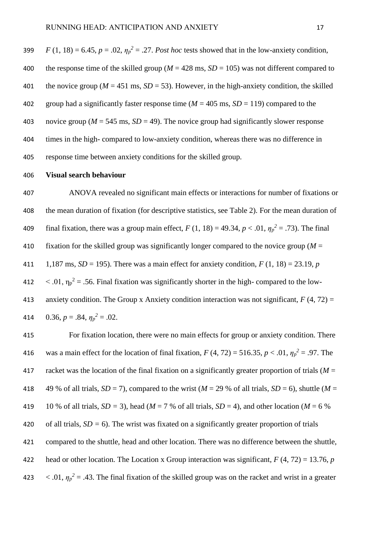| 399 | $F(1, 18) = 6.45$ , $p = .02$ , $\eta_p^2 = .27$ . Post hoc tests showed that in the low-anxiety condition, |
|-----|-------------------------------------------------------------------------------------------------------------|
| 400 | the response time of the skilled group ( $M = 428$ ms, $SD = 105$ ) was not different compared to           |
| 401 | the novice group ( $M = 451$ ms, $SD = 53$ ). However, in the high-anxiety condition, the skilled           |
| 402 | group had a significantly faster response time ( $M = 405$ ms, $SD = 119$ ) compared to the                 |
| 403 | novice group ( $M = 545$ ms, $SD = 49$ ). The novice group had significantly slower response                |
| 404 | times in the high-compared to low-anxiety condition, whereas there was no difference in                     |
| 405 | response time between anxiety conditions for the skilled group.                                             |

#### **Visual search behaviour**

 ANOVA revealed no significant main effects or interactions for number of fixations or the mean duration of fixation (for descriptive statistics, see Table 2). For the mean duration of 409 final fixation, there was a group main effect,  $F(1, 18) = 49.34$ ,  $p < .01$ ,  $\eta_p^2 = .73$ ). The final fixation for the skilled group was significantly longer compared to the novice group (*M* = 1,187 ms, *SD* = 195). There was a main effect for anxiety condition, *F* (1, 18) = 23.19, *p*   $\leq 0.01$ ,  $\eta_p^2 = 0.56$ . Final fixation was significantly shorter in the high-compared to the low-413 anxiety condition. The Group x Anxiety condition interaction was not significant,  $F(4, 72) =$  $0.36, p = .84, \eta_p^2 = .02$ .

 For fixation location, there were no main effects for group or anxiety condition. There 416 was a main effect for the location of final fixation,  $F(4, 72) = 516.35, p < .01, \eta_p^2 = .97$ . The racket was the location of the final fixation on a significantly greater proportion of trials (*M* = 418 49 % of all trials,  $SD = 7$ ), compared to the wrist ( $M = 29$  % of all trials,  $SD = 6$ ), shuttle ( $M = 29$ 419 10 % of all trials,  $SD = 3$ ), head ( $M = 7$  % of all trials,  $SD = 4$ ), and other location ( $M = 6$  %) of all trials, *SD =* 6). The wrist was fixated on a significantly greater proportion of trials compared to the shuttle, head and other location. There was no difference between the shuttle, head or other location. The Location x Group interaction was significant, *F* (4, 72) = 13.76, *p*   $\langle .01, \eta_p^2 = .43$ . The final fixation of the skilled group was on the racket and wrist in a greater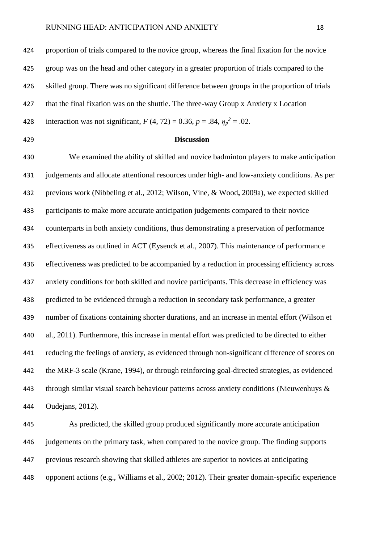proportion of trials compared to the novice group, whereas the final fixation for the novice group was on the head and other category in a greater proportion of trials compared to the skilled group. There was no significant difference between groups in the proportion of trials that the final fixation was on the shuttle. The three-way Group x Anxiety x Location 428 interaction was not significant,  $F(4, 72) = 0.36$ ,  $p = .84$ ,  $\eta_p^2 = .02$ .

# **Discussion**

 We examined the ability of skilled and novice badminton players to make anticipation judgements and allocate attentional resources under high- and low-anxiety conditions. As per previous work (Nibbeling et al., 2012; Wilson, Vine, & Wood**,** 2009a), we expected skilled participants to make more accurate anticipation judgements compared to their novice counterparts in both anxiety conditions, thus demonstrating a preservation of performance effectiveness as outlined in ACT (Eysenck et al., 2007). This maintenance of performance effectiveness was predicted to be accompanied by a reduction in processing efficiency across anxiety conditions for both skilled and novice participants. This decrease in efficiency was predicted to be evidenced through a reduction in secondary task performance, a greater number of fixations containing shorter durations, and an increase in mental effort (Wilson et al., 2011). Furthermore, this increase in mental effort was predicted to be directed to either reducing the feelings of anxiety, as evidenced through non-significant difference of scores on the MRF-3 scale (Krane, 1994), or through reinforcing goal-directed strategies, as evidenced through similar visual search behaviour patterns across anxiety conditions (Nieuwenhuys & Oudejans, 2012).

 As predicted, the skilled group produced significantly more accurate anticipation judgements on the primary task, when compared to the novice group. The finding supports previous research showing that skilled athletes are superior to novices at anticipating opponent actions (e.g., Williams et al., 2002; 2012). Their greater domain-specific experience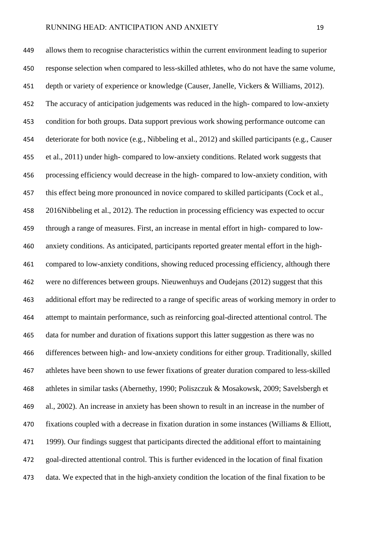allows them to recognise characteristics within the current environment leading to superior response selection when compared to less-skilled athletes, who do not have the same volume, depth or variety of experience or knowledge (Causer, Janelle, Vickers & Williams, 2012). The accuracy of anticipation judgements was reduced in the high- compared to low-anxiety condition for both groups. Data support previous work showing performance outcome can deteriorate for both novice (e.g., Nibbeling et al., 2012) and skilled participants (e.g., Causer et al., 2011) under high- compared to low-anxiety conditions. Related work suggests that processing efficiency would decrease in the high- compared to low-anxiety condition, with 457 this effect being more pronounced in novice compared to skilled participants (Cock et al., 2016Nibbeling et al., 2012). The reduction in processing efficiency was expected to occur through a range of measures. First, an increase in mental effort in high- compared to low- anxiety conditions. As anticipated, participants reported greater mental effort in the high- compared to low-anxiety conditions, showing reduced processing efficiency, although there were no differences between groups. Nieuwenhuys and Oudejans (2012) suggest that this additional effort may be redirected to a range of specific areas of working memory in order to attempt to maintain performance, such as reinforcing goal-directed attentional control. The data for number and duration of fixations support this latter suggestion as there was no differences between high- and low-anxiety conditions for either group. Traditionally, skilled athletes have been shown to use fewer fixations of greater duration compared to less-skilled athletes in similar tasks (Abernethy, 1990; Poliszczuk & Mosakowsk, 2009; Savelsbergh et al., 2002). An increase in anxiety has been shown to result in an increase in the number of fixations coupled with a decrease in fixation duration in some instances (Williams & Elliott, 1999). Our findings suggest that participants directed the additional effort to maintaining goal-directed attentional control. This is further evidenced in the location of final fixation data. We expected that in the high-anxiety condition the location of the final fixation to be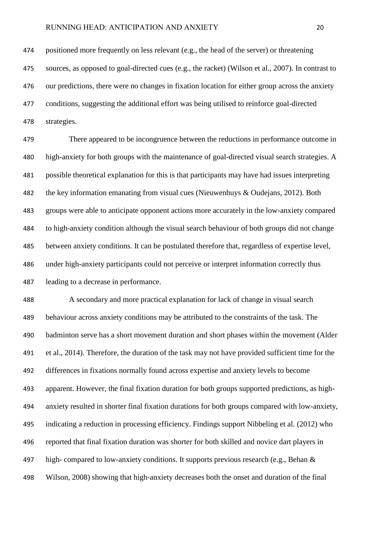positioned more frequently on less relevant (e.g., the head of the server) or threatening sources, as opposed to goal-directed cues (e.g., the racket) (Wilson et al., 2007). In contrast to our predictions, there were no changes in fixation location for either group across the anxiety conditions, suggesting the additional effort was being utilised to reinforce goal-directed strategies.

 There appeared to be incongruence between the reductions in performance outcome in high-anxiety for both groups with the maintenance of goal-directed visual search strategies. A possible theoretical explanation for this is that participants may have had issues interpreting the key information emanating from visual cues (Nieuwenhuys & Oudejans, 2012). Both groups were able to anticipate opponent actions more accurately in the low-anxiety compared to high-anxiety condition although the visual search behaviour of both groups did not change between anxiety conditions. It can be postulated therefore that, regardless of expertise level, under high-anxiety participants could not perceive or interpret information correctly thus leading to a decrease in performance.

 A secondary and more practical explanation for lack of change in visual search behaviour across anxiety conditions may be attributed to the constraints of the task. The badminton serve has a short movement duration and short phases within the movement (Alder et al., 2014). Therefore, the duration of the task may not have provided sufficient time for the differences in fixations normally found across expertise and anxiety levels to become apparent. However, the final fixation duration for both groups supported predictions, as high- anxiety resulted in shorter final fixation durations for both groups compared with low-anxiety, indicating a reduction in processing efficiency. Findings support Nibbeling et al. (2012) who reported that final fixation duration was shorter for both skilled and novice dart players in high- compared to low-anxiety conditions. It supports previous research (e.g., Behan & Wilson, 2008) showing that high-anxiety decreases both the onset and duration of the final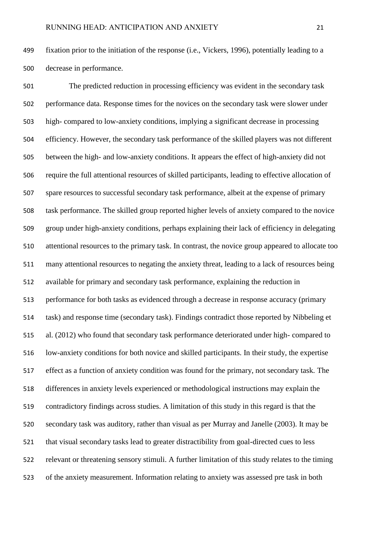fixation prior to the initiation of the response (i.e., Vickers, 1996), potentially leading to a decrease in performance.

 The predicted reduction in processing efficiency was evident in the secondary task performance data. Response times for the novices on the secondary task were slower under high- compared to low-anxiety conditions, implying a significant decrease in processing efficiency. However, the secondary task performance of the skilled players was not different between the high- and low-anxiety conditions. It appears the effect of high-anxiety did not require the full attentional resources of skilled participants, leading to effective allocation of spare resources to successful secondary task performance, albeit at the expense of primary task performance. The skilled group reported higher levels of anxiety compared to the novice group under high-anxiety conditions, perhaps explaining their lack of efficiency in delegating attentional resources to the primary task. In contrast, the novice group appeared to allocate too many attentional resources to negating the anxiety threat, leading to a lack of resources being available for primary and secondary task performance, explaining the reduction in performance for both tasks as evidenced through a decrease in response accuracy (primary task) and response time (secondary task). Findings contradict those reported by Nibbeling et al. (2012) who found that secondary task performance deteriorated under high- compared to low-anxiety conditions for both novice and skilled participants. In their study, the expertise effect as a function of anxiety condition was found for the primary, not secondary task. The differences in anxiety levels experienced or methodological instructions may explain the contradictory findings across studies. A limitation of this study in this regard is that the secondary task was auditory, rather than visual as per Murray and Janelle (2003). It may be that visual secondary tasks lead to greater distractibility from goal-directed cues to less relevant or threatening sensory stimuli. A further limitation of this study relates to the timing of the anxiety measurement. Information relating to anxiety was assessed pre task in both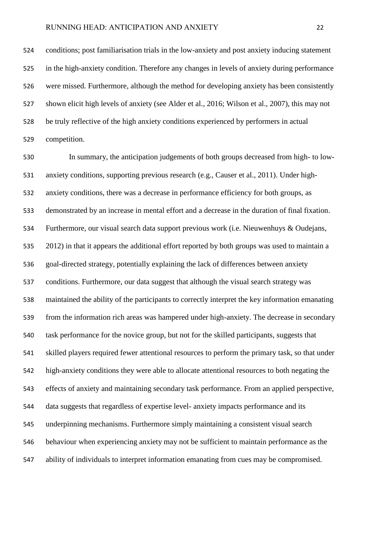conditions; post familiarisation trials in the low-anxiety and post anxiety inducing statement in the high-anxiety condition. Therefore any changes in levels of anxiety during performance were missed. Furthermore, although the method for developing anxiety has been consistently shown elicit high levels of anxiety (see Alder et al., 2016; Wilson et al., 2007), this may not be truly reflective of the high anxiety conditions experienced by performers in actual competition.

 In summary, the anticipation judgements of both groups decreased from high- to low- anxiety conditions, supporting previous research (e.g., Causer et al., 2011). Under high- anxiety conditions, there was a decrease in performance efficiency for both groups, as demonstrated by an increase in mental effort and a decrease in the duration of final fixation. Furthermore, our visual search data support previous work (i.e. Nieuwenhuys & Oudejans, 2012) in that it appears the additional effort reported by both groups was used to maintain a goal-directed strategy, potentially explaining the lack of differences between anxiety conditions. Furthermore, our data suggest that although the visual search strategy was maintained the ability of the participants to correctly interpret the key information emanating from the information rich areas was hampered under high-anxiety. The decrease in secondary task performance for the novice group, but not for the skilled participants, suggests that skilled players required fewer attentional resources to perform the primary task, so that under high-anxiety conditions they were able to allocate attentional resources to both negating the effects of anxiety and maintaining secondary task performance. From an applied perspective, data suggests that regardless of expertise level- anxiety impacts performance and its underpinning mechanisms. Furthermore simply maintaining a consistent visual search behaviour when experiencing anxiety may not be sufficient to maintain performance as the ability of individuals to interpret information emanating from cues may be compromised.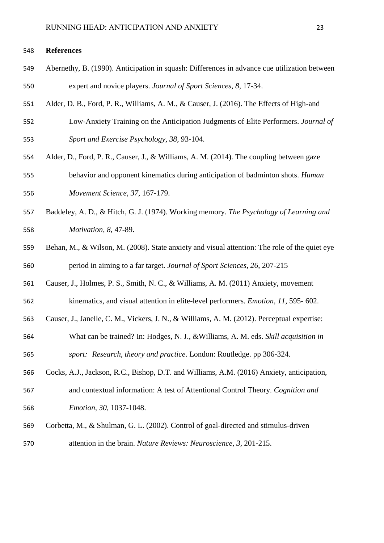#### **References**

- Abernethy, B. (1990). Anticipation in squash: Differences in advance cue utilization between expert and novice players. *Journal of Sport Sciences, 8*, 17-34.
- Alder, D. B., Ford, P. R., Williams, A. M., & Causer, J. (2016). The Effects of High-and
- Low-Anxiety Training on the Anticipation Judgments of Elite Performers. *Journal of Sport and Exercise Psychology, 38*, 93-104.
- Alder, D., Ford, P. R., Causer, J., & Williams, A. M. (2014). The coupling between gaze behavior and opponent kinematics during anticipation of badminton shots. *Human Movement Science*, *37*, 167-179.
- Baddeley, A. D., & Hitch, G. J. (1974). Working memory. *The Psychology of Learning and Motivation, 8,* 47-89.
- Behan, M., & Wilson, M. (2008). State anxiety and visual attention: The role of the quiet eye period in aiming to a far target. *Journal of Sport Sciences, 26*, 207-215
- Causer, J., Holmes, P. S., Smith, N. C., & Williams, A. M. (2011) Anxiety, movement
- kinematics, and visual attention in elite-level performers. *Emotion, 11,* 595- 602.
- Causer, J., Janelle, C. M., Vickers, J. N., & Williams, A. M. (2012). Perceptual expertise:
- What can be trained? In: Hodges, N. J., &Williams, A. M. eds. *Skill acquisition in sport: Research, theory and practice*. London: Routledge. pp 306-324.
- Cocks, A.J., Jackson, R.C., Bishop, D.T. and Williams, A.M. (2016) Anxiety, anticipation, and contextual information: A test of Attentional Control Theory. *Cognition and*
- *Emotion, 30,* 1037-1048.
- Corbetta, M., & Shulman, G. L. (2002). Control of goal-directed and stimulus-driven
- attention in the brain. *Nature Reviews: Neuroscience, 3*, 201-215.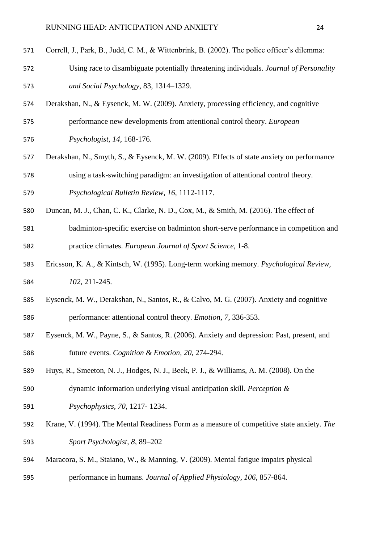- Correll, J., Park, B., Judd, C. M., & Wittenbrink, B. (2002). The police officer's dilemma:
- Using race to disambiguate potentially threatening individuals. *Journal of Personality and Social Psychology*, 83, 1314–1329.
- Derakshan, N., & Eysenck, M. W. (2009). Anxiety, processing efficiency, and cognitive performance new developments from attentional control theory. *European*
- *Psychologist, 14*, 168-176.
- Derakshan, N., Smyth, S., & Eysenck, M. W. (2009). Effects of state anxiety on performance using a task-switching paradigm: an investigation of attentional control theory.
- *Psychological Bulletin Review, 16,* 1112-1117.
- Duncan, M. J., Chan, C. K., Clarke, N. D., Cox, M., & Smith, M. (2016). The effect of
- badminton-specific exercise on badminton short-serve performance in competition and practice climates. *European Journal of Sport Science,* 1-8.
- Ericsson, K. A., & Kintsch, W. (1995). Long-term working memory. *Psychological Review, 102,* 211-245.
- Eysenck, M. W., Derakshan, N., Santos, R., & Calvo, M. G. (2007). Anxiety and cognitive performance: attentional control theory. *Emotion, 7*, 336-353.
- Eysenck, M. W., Payne, S., & Santos, R. (2006). Anxiety and depression: Past, present, and future events. *Cognition & Emotion, 20*, 274-294.
- Huys, R., Smeeton, N. J., Hodges, N. J., Beek, P. J., & Williams, A. M. (2008). On the
- dynamic information underlying visual anticipation skill. *Perception &*
- *Psychophysics, 70*, 1217- 1234.
- Krane, V. (1994). The Mental Readiness Form as a measure of competitive state anxiety. *The Sport Psychologist, 8*, 89–202
- Maracora, S. M., Staiano, W., & Manning, V. (2009). Mental fatigue impairs physical
- performance in humans. *Journal of Applied Physiology, 106,* 857-864.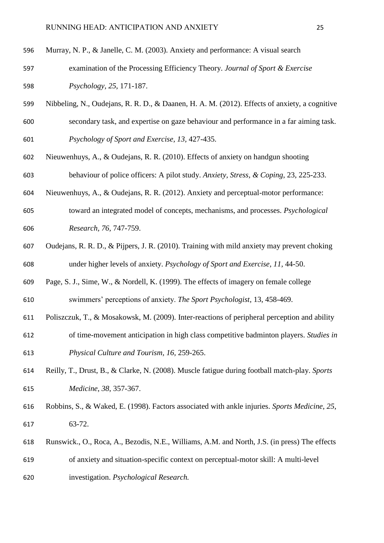- Murray, N. P., & Janelle, C. M. (2003). Anxiety and performance: A visual search
- examination of the Processing Efficiency Theory. *Journal of Sport & Exercise Psychology, 25*, 171-187.
- Nibbeling, N., Oudejans, R. R. D., & Daanen, H. A. M. (2012). Effects of anxiety, a cognitive secondary task, and expertise on gaze behaviour and performance in a far aiming task. *Psychology of Sport and Exercise, 13,* 427-435.
- Nieuwenhuys, A., & Oudejans, R. R. (2010). Effects of anxiety on handgun shooting behaviour of police officers: A pilot study. *Anxiety, Stress, & Coping*, 23, 225-233.
- Nieuwenhuys, A., & Oudejans, R. R. (2012). Anxiety and perceptual-motor performance:
- toward an integrated model of concepts, mechanisms, and processes. *Psychological Research, 76,* 747-759.
- Oudejans, R. R. D., & Pijpers, J. R. (2010). Training with mild anxiety may prevent choking under higher levels of anxiety. *Psychology of Sport and Exercise, 11,* 44-50.
- Page, S. J., Sime, W., & Nordell, K. (1999). The effects of imagery on female college swimmers' perceptions of anxiety. *The Sport Psychologist*, 13, 458-469.
- Poliszczuk, T., & Mosakowsk, M. (2009). Inter-reactions of peripheral perception and ability
- of time-movement anticipation in high class competitive badminton players. *Studies in Physical Culture and Tourism, 16,* 259-265.
- Reilly, T., Drust, B., & Clarke, N. (2008). Muscle fatigue during football match-play. *Sports Medicine*, *38*, 357-367.
- Robbins, S., & Waked, E. (1998). Factors associated with ankle injuries. *Sports Medicine*, *25*, 63-72.
- Runswick., O., Roca, A., Bezodis, N.E., Williams, A.M. and North, J.S. (in press) The effects
- of anxiety and situation-specific context on perceptual-motor skill: A multi-level
- investigation. *Psychological Research.*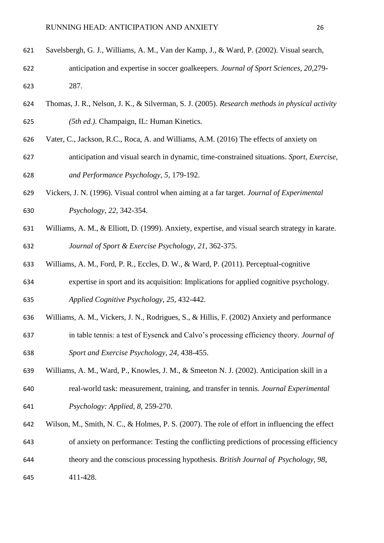- Savelsbergh, G. J., Williams, A. M., Van der Kamp, J., & Ward, P. (2002). Visual search, anticipation and expertise in soccer goalkeepers. *Journal of Sport Sciences, 20,*279- 287.
- Thomas, J. R., Nelson, J. K., & Silverman, S. J. (2005). *Research methods in physical activity (5th ed.).* Champaign, IL: Human Kinetics*.*
- Vater, C., Jackson, R.C., Roca, A. and Williams, A.M. (2016) The effects of anxiety on
- anticipation and visual search in dynamic, time-constrained situations. *Sport, Exercise, and Performance Psychology, 5,* 179-192.
- Vickers, J. N. (1996). Visual control when aiming at a far target. *Journal of Experimental Psychology*, *22*, 342-354.
- Williams, A. M., & Elliott, D. (1999). Anxiety, expertise, and visual search strategy in karate. *Journal of Sport & Exercise Psychology, 21*, 362-375.
- Williams, A. M., Ford, P. R., Eccles, D. W., & Ward, P. (2011). Perceptual-cognitive
- expertise in sport and its acquisition: Implications for applied cognitive psychology. *Applied Cognitive Psychology*, *25*, 432-442.
- Williams, A. M., Vickers, J. N., Rodrigues, S., & Hillis, F. (2002) Anxiety and performance
- in table tennis: a test of Eysenck and Calvo's processing efficiency theory. *Journal of Sport and Exercise Psychology, 24,* 438-455.
- Williams, A. M., Ward, P., Knowles, J. M., & Smeeton N. J. (2002). Anticipation skill in a real-world task: measurement, training, and transfer in tennis. *Journal Experimental*
- *Psychology: Applied, 8*, 259-270.
- Wilson, M., Smith, N. C., & Holmes, P. S. (2007). The role of effort in influencing the effect of anxiety on performance: Testing the conflicting predictions of processing efficiency
- theory and the conscious processing hypothesis. *British Journal of Psychology, 98*,
- 411-428.